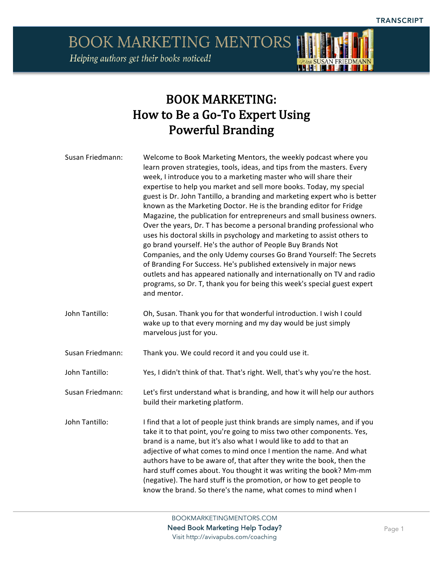

## BOOK MARKETING: How to Be a Go-To Expert Using Powerful Branding

| Susan Friedmann: | Welcome to Book Marketing Mentors, the weekly podcast where you<br>learn proven strategies, tools, ideas, and tips from the masters. Every<br>week, I introduce you to a marketing master who will share their<br>expertise to help you market and sell more books. Today, my special<br>guest is Dr. John Tantillo, a branding and marketing expert who is better<br>known as the Marketing Doctor. He is the branding editor for Fridge<br>Magazine, the publication for entrepreneurs and small business owners.<br>Over the years, Dr. T has become a personal branding professional who<br>uses his doctoral skills in psychology and marketing to assist others to<br>go brand yourself. He's the author of People Buy Brands Not<br>Companies, and the only Udemy courses Go Brand Yourself: The Secrets<br>of Branding For Success. He's published extensively in major news<br>outlets and has appeared nationally and internationally on TV and radio<br>programs, so Dr. T, thank you for being this week's special guest expert<br>and mentor. |
|------------------|------------------------------------------------------------------------------------------------------------------------------------------------------------------------------------------------------------------------------------------------------------------------------------------------------------------------------------------------------------------------------------------------------------------------------------------------------------------------------------------------------------------------------------------------------------------------------------------------------------------------------------------------------------------------------------------------------------------------------------------------------------------------------------------------------------------------------------------------------------------------------------------------------------------------------------------------------------------------------------------------------------------------------------------------------------|
| John Tantillo:   | Oh, Susan. Thank you for that wonderful introduction. I wish I could<br>wake up to that every morning and my day would be just simply<br>marvelous just for you.                                                                                                                                                                                                                                                                                                                                                                                                                                                                                                                                                                                                                                                                                                                                                                                                                                                                                           |
| Susan Friedmann: | Thank you. We could record it and you could use it.                                                                                                                                                                                                                                                                                                                                                                                                                                                                                                                                                                                                                                                                                                                                                                                                                                                                                                                                                                                                        |
| John Tantillo:   | Yes, I didn't think of that. That's right. Well, that's why you're the host.                                                                                                                                                                                                                                                                                                                                                                                                                                                                                                                                                                                                                                                                                                                                                                                                                                                                                                                                                                               |
| Susan Friedmann: | Let's first understand what is branding, and how it will help our authors<br>build their marketing platform.                                                                                                                                                                                                                                                                                                                                                                                                                                                                                                                                                                                                                                                                                                                                                                                                                                                                                                                                               |
| John Tantillo:   | I find that a lot of people just think brands are simply names, and if you<br>take it to that point, you're going to miss two other components. Yes,<br>brand is a name, but it's also what I would like to add to that an<br>adjective of what comes to mind once I mention the name. And what<br>authors have to be aware of, that after they write the book, then the<br>hard stuff comes about. You thought it was writing the book? Mm-mm<br>(negative). The hard stuff is the promotion, or how to get people to<br>know the brand. So there's the name, what comes to mind when I                                                                                                                                                                                                                                                                                                                                                                                                                                                                   |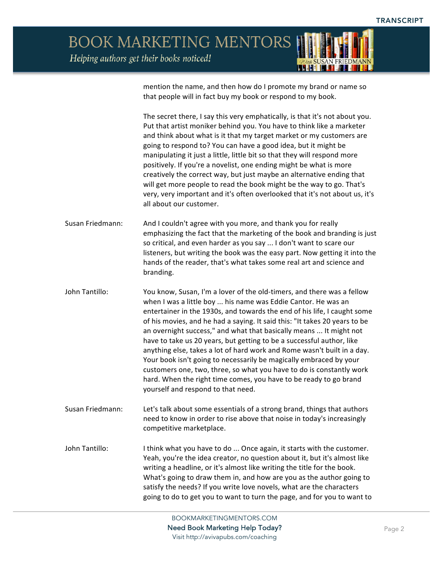

mention the name, and then how do I promote my brand or name so that people will in fact buy my book or respond to my book.

The secret there, I say this very emphatically, is that it's not about you. Put that artist moniker behind you. You have to think like a marketer and think about what is it that my target market or my customers are going to respond to? You can have a good idea, but it might be manipulating it just a little, little bit so that they will respond more positively. If you're a novelist, one ending might be what is more creatively the correct way, but just maybe an alternative ending that will get more people to read the book might be the way to go. That's very, very important and it's often overlooked that it's not about us, it's all about our customer.

- Susan Friedmann: And I couldn't agree with you more, and thank you for really emphasizing the fact that the marketing of the book and branding is just so critical, and even harder as you say ... I don't want to scare our listeners, but writing the book was the easy part. Now getting it into the hands of the reader, that's what takes some real art and science and branding.
- John Tantillo: You know, Susan, I'm a lover of the old-timers, and there was a fellow when I was a little boy ... his name was Eddie Cantor. He was an entertainer in the 1930s, and towards the end of his life, I caught some of his movies, and he had a saying. It said this: "It takes 20 years to be an overnight success," and what that basically means ... It might not have to take us 20 years, but getting to be a successful author, like anything else, takes a lot of hard work and Rome wasn't built in a day. Your book isn't going to necessarily be magically embraced by your customers one, two, three, so what you have to do is constantly work hard. When the right time comes, you have to be ready to go brand yourself and respond to that need.
- Susan Friedmann: Let's talk about some essentials of a strong brand, things that authors need to know in order to rise above that noise in today's increasingly competitive marketplace.
- John Tantillo: Ithink what you have to do ... Once again, it starts with the customer. Yeah, you're the idea creator, no question about it, but it's almost like writing a headline, or it's almost like writing the title for the book. What's going to draw them in, and how are you as the author going to satisfy the needs? If you write love novels, what are the characters going to do to get you to want to turn the page, and for you to want to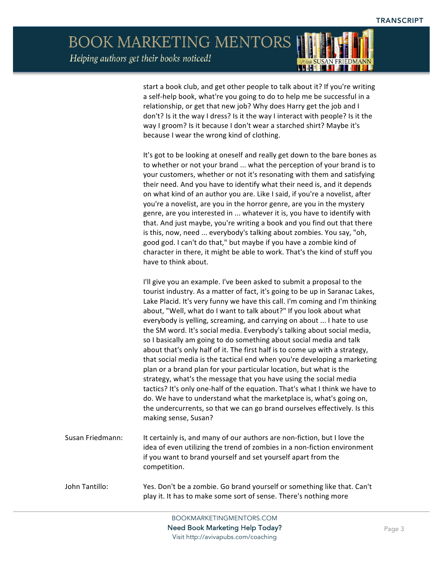

start a book club, and get other people to talk about it? If you're writing a self-help book, what're you going to do to help me be successful in a relationship, or get that new job? Why does Harry get the job and I don't? Is it the way I dress? Is it the way I interact with people? Is it the way I groom? Is it because I don't wear a starched shirt? Maybe it's because I wear the wrong kind of clothing.

It's got to be looking at oneself and really get down to the bare bones as to whether or not your brand ... what the perception of your brand is to your customers, whether or not it's resonating with them and satisfying their need. And you have to identify what their need is, and it depends on what kind of an author you are. Like I said, if you're a novelist, after you're a novelist, are you in the horror genre, are you in the mystery genre, are you interested in ... whatever it is, you have to identify with that. And just maybe, you're writing a book and you find out that there is this, now, need ... everybody's talking about zombies. You say, "oh, good god. I can't do that," but maybe if you have a zombie kind of character in there, it might be able to work. That's the kind of stuff you have to think about.

I'll give you an example. I've been asked to submit a proposal to the tourist industry. As a matter of fact, it's going to be up in Saranac Lakes, Lake Placid. It's very funny we have this call. I'm coming and I'm thinking about, "Well, what do I want to talk about?" If you look about what everybody is yelling, screaming, and carrying on about ... I hate to use the SM word. It's social media. Everybody's talking about social media, so I basically am going to do something about social media and talk about that's only half of it. The first half is to come up with a strategy, that social media is the tactical end when you're developing a marketing plan or a brand plan for your particular location, but what is the strategy, what's the message that you have using the social media tactics? It's only one-half of the equation. That's what I think we have to do. We have to understand what the marketplace is, what's going on, the undercurrents, so that we can go brand ourselves effectively. Is this making sense, Susan?

- Susan Friedmann: It certainly is, and many of our authors are non-fiction, but I love the idea of even utilizing the trend of zombies in a non-fiction environment if you want to brand yourself and set yourself apart from the competition.
- John Tantillo: Yes. Don't be a zombie. Go brand yourself or something like that. Can't play it. It has to make some sort of sense. There's nothing more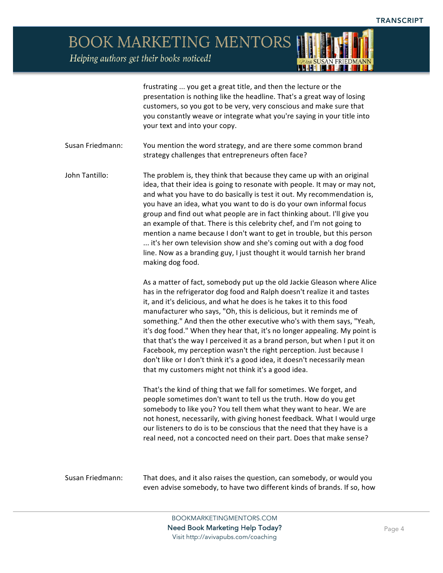**BOOK MARKETING MENTORS** 

Helping authors get their books noticed!



frustrating ... you get a great title, and then the lecture or the presentation is nothing like the headline. That's a great way of losing customers, so you got to be very, very conscious and make sure that you constantly weave or integrate what you're saying in your title into your text and into your copy.

Susan Friedmann: You mention the word strategy, and are there some common brand strategy challenges that entrepreneurs often face?

John Tantillo: The problem is, they think that because they came up with an original idea, that their idea is going to resonate with people. It may or may not, and what you have to do basically is test it out. My recommendation is, you have an idea, what you want to do is do your own informal focus group and find out what people are in fact thinking about. I'll give you an example of that. There is this celebrity chef, and I'm not going to mention a name because I don't want to get in trouble, but this person ... it's her own television show and she's coming out with a dog food line. Now as a branding guy, I just thought it would tarnish her brand making dog food.

> As a matter of fact, somebody put up the old Jackie Gleason where Alice has in the refrigerator dog food and Ralph doesn't realize it and tastes it, and it's delicious, and what he does is he takes it to this food manufacturer who says, "Oh, this is delicious, but it reminds me of something." And then the other executive who's with them says, "Yeah, it's dog food." When they hear that, it's no longer appealing. My point is that that's the way I perceived it as a brand person, but when I put it on Facebook, my perception wasn't the right perception. Just because I don't like or I don't think it's a good idea, it doesn't necessarily mean that my customers might not think it's a good idea.

> That's the kind of thing that we fall for sometimes. We forget, and people sometimes don't want to tell us the truth. How do you get somebody to like you? You tell them what they want to hear. We are not honest, necessarily, with giving honest feedback. What I would urge our listeners to do is to be conscious that the need that they have is a real need, not a concocted need on their part. Does that make sense?

Susan Friedmann: That does, and it also raises the question, can somebody, or would you even advise somebody, to have two different kinds of brands. If so, how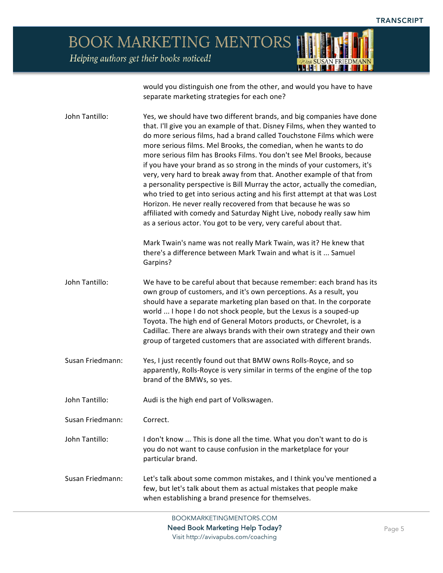

would you distinguish one from the other, and would you have to have separate marketing strategies for each one?

| John Tantillo:   | Yes, we should have two different brands, and big companies have done<br>that. I'll give you an example of that. Disney Films, when they wanted to<br>do more serious films, had a brand called Touchstone Films which were<br>more serious films. Mel Brooks, the comedian, when he wants to do<br>more serious film has Brooks Films. You don't see Mel Brooks, because<br>if you have your brand as so strong in the minds of your customers, it's<br>very, very hard to break away from that. Another example of that from<br>a personality perspective is Bill Murray the actor, actually the comedian,<br>who tried to get into serious acting and his first attempt at that was Lost<br>Horizon. He never really recovered from that because he was so<br>affiliated with comedy and Saturday Night Live, nobody really saw him<br>as a serious actor. You got to be very, very careful about that.<br>Mark Twain's name was not really Mark Twain, was it? He knew that<br>there's a difference between Mark Twain and what is it  Samuel |
|------------------|---------------------------------------------------------------------------------------------------------------------------------------------------------------------------------------------------------------------------------------------------------------------------------------------------------------------------------------------------------------------------------------------------------------------------------------------------------------------------------------------------------------------------------------------------------------------------------------------------------------------------------------------------------------------------------------------------------------------------------------------------------------------------------------------------------------------------------------------------------------------------------------------------------------------------------------------------------------------------------------------------------------------------------------------------|
|                  | Garpins?                                                                                                                                                                                                                                                                                                                                                                                                                                                                                                                                                                                                                                                                                                                                                                                                                                                                                                                                                                                                                                          |
| John Tantillo:   | We have to be careful about that because remember: each brand has its<br>own group of customers, and it's own perceptions. As a result, you<br>should have a separate marketing plan based on that. In the corporate<br>world  I hope I do not shock people, but the Lexus is a souped-up<br>Toyota. The high end of General Motors products, or Chevrolet, is a<br>Cadillac. There are always brands with their own strategy and their own<br>group of targeted customers that are associated with different brands.                                                                                                                                                                                                                                                                                                                                                                                                                                                                                                                             |
| Susan Friedmann: | Yes, I just recently found out that BMW owns Rolls-Royce, and so<br>apparently, Rolls-Royce is very similar in terms of the engine of the top<br>brand of the BMWs, so yes.                                                                                                                                                                                                                                                                                                                                                                                                                                                                                                                                                                                                                                                                                                                                                                                                                                                                       |
| John Tantillo:   | Audi is the high end part of Volkswagen.                                                                                                                                                                                                                                                                                                                                                                                                                                                                                                                                                                                                                                                                                                                                                                                                                                                                                                                                                                                                          |
| Susan Friedmann: | Correct.                                                                                                                                                                                                                                                                                                                                                                                                                                                                                                                                                                                                                                                                                                                                                                                                                                                                                                                                                                                                                                          |
| John Tantillo:   | I don't know  This is done all the time. What you don't want to do is<br>you do not want to cause confusion in the marketplace for your<br>particular brand.                                                                                                                                                                                                                                                                                                                                                                                                                                                                                                                                                                                                                                                                                                                                                                                                                                                                                      |
| Susan Friedmann: | Let's talk about some common mistakes, and I think you've mentioned a<br>few, but let's talk about them as actual mistakes that people make<br>when establishing a brand presence for themselves.                                                                                                                                                                                                                                                                                                                                                                                                                                                                                                                                                                                                                                                                                                                                                                                                                                                 |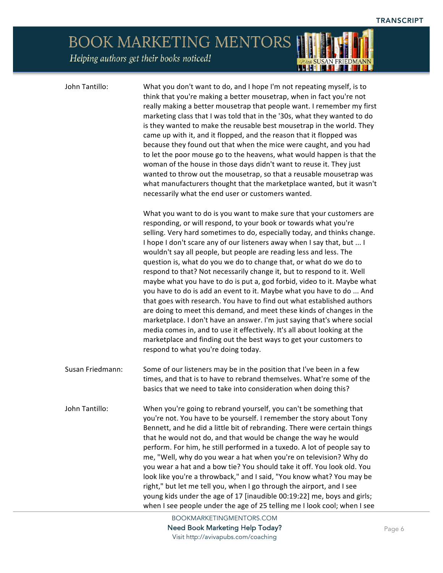John Tantillo: What you don't want to do, and I hope I'm not repeating myself, is to think that you're making a better mousetrap, when in fact you're not really making a better mousetrap that people want. I remember my first marketing class that I was told that in the '30s, what they wanted to do is they wanted to make the reusable best mousetrap in the world. They came up with it, and it flopped, and the reason that it flopped was because they found out that when the mice were caught, and you had to let the poor mouse go to the heavens, what would happen is that the woman of the house in those days didn't want to reuse it. They just wanted to throw out the mousetrap, so that a reusable mousetrap was what manufacturers thought that the marketplace wanted, but it wasn't necessarily what the end user or customers wanted.

<u>LIHETTI K</u>

What you want to do is you want to make sure that your customers are responding, or will respond, to your book or towards what you're selling. Very hard sometimes to do, especially today, and thinks change. I hope I don't scare any of our listeners away when I say that, but ... I wouldn't say all people, but people are reading less and less. The question is, what do you we do to change that, or what do we do to respond to that? Not necessarily change it, but to respond to it. Well maybe what you have to do is put a, god forbid, video to it. Maybe what you have to do is add an event to it. Maybe what you have to do ... And that goes with research. You have to find out what established authors are doing to meet this demand, and meet these kinds of changes in the marketplace. I don't have an answer. I'm just saying that's where social media comes in, and to use it effectively. It's all about looking at the marketplace and finding out the best ways to get your customers to respond to what you're doing today.

Susan Friedmann: Some of our listeners may be in the position that I've been in a few times, and that is to have to rebrand themselves. What're some of the basics that we need to take into consideration when doing this?

John Tantillo: When you're going to rebrand yourself, you can't be something that you're not. You have to be yourself. I remember the story about Tony Bennett, and he did a little bit of rebranding. There were certain things that he would not do, and that would be change the way he would perform. For him, he still performed in a tuxedo. A lot of people say to me, "Well, why do you wear a hat when you're on television? Why do you wear a hat and a bow tie? You should take it off. You look old. You look like you're a throwback," and I said, "You know what? You may be right," but let me tell you, when I go through the airport, and I see young kids under the age of 17 [inaudible 00:19:22] me, boys and girls; when I see people under the age of 25 telling me I look cool; when I see